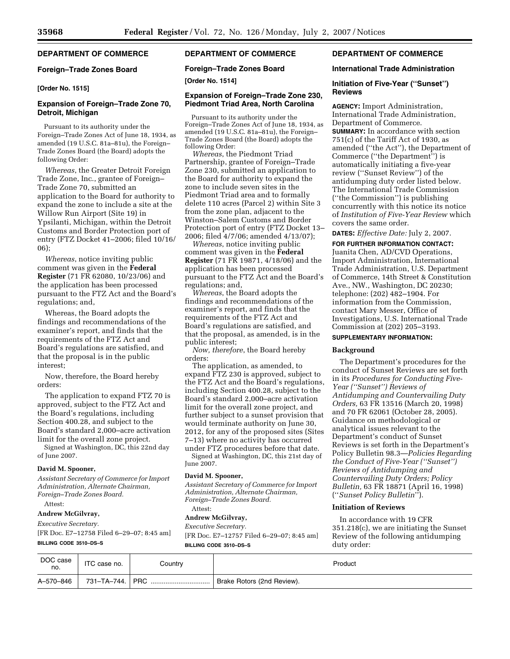# **DEPARTMENT OF COMMERCE**

### **Foreign–Trade Zones Board**

### **[Order No. 1515]**

# **Expansion of Foreign–Trade Zone 70, Detroit, Michigan**

Pursuant to its authority under the Foreign–Trade Zones Act of June 18, 1934, as amended (19 U.S.C. 81a–81u), the Foreign– Trade Zones Board (the Board) adopts the following Order:

*Whereas*, the Greater Detroit Foreign Trade Zone, Inc., grantee of Foreign– Trade Zone 70, submitted an application to the Board for authority to expand the zone to include a site at the Willow Run Airport (Site 19) in Ypsilanti, Michigan, within the Detroit Customs and Border Protection port of entry (FTZ Docket 41–2006; filed 10/16/ 06);

*Whereas*, notice inviting public comment was given in the **Federal Register** (71 FR 62080, 10/23/06) and the application has been processed pursuant to the FTZ Act and the Board's regulations; and,

Whereas, the Board adopts the findings and recommendations of the examiner's report, and finds that the requirements of the FTZ Act and Board's regulations are satisfied, and that the proposal is in the public interest;

Now, therefore, the Board hereby orders:

The application to expand FTZ 70 is approved, subject to the FTZ Act and the Board's regulations, including Section 400.28, and subject to the Board's standard 2,000–acre activation limit for the overall zone project.

Signed at Washington, DC, this 22nd day of June 2007.

### **David M. Spooner,**

*Assistant Secretary of Commerce for Import Administration, Alternate Chairman, Foreign–Trade Zones Board.*  Attest:

# **Andrew McGilvray,**

*Executive Secretary.* 

[FR Doc. E7–12758 Filed 6–29–07; 8:45 am]

#### **BILLING CODE 3510–DS–S**

# **DEPARTMENT OF COMMERCE**

**Foreign–Trade Zones Board** 

**[Order No. 1514]** 

# **Expansion of Foreign–Trade Zone 230, Piedmont Triad Area, North Carolina**

Pursuant to its authority under the Foreign–Trade Zones Act of June 18, 1934, as amended (19 U.S.C. 81a–81u), the Foreign– Trade Zones Board (the Board) adopts the following Order:

*Whereas*, the Piedmont Triad Partnership, grantee of Foreign–Trade Zone 230, submitted an application to the Board for authority to expand the zone to include seven sites in the Piedmont Triad area and to formally delete 110 acres (Parcel 2) within Site 3 from the zone plan, adjacent to the Winston–Salem Customs and Border Protection port of entry (FTZ Docket 13– 2006; filed 4/7/06; amended 4/13/07);

*Whereas*, notice inviting public comment was given in the **Federal Register** (71 FR 19871, 4/18/06) and the application has been processed pursuant to the FTZ Act and the Board's regulations; and,

*Whereas*, the Board adopts the findings and recommendations of the examiner's report, and finds that the requirements of the FTZ Act and Board's regulations are satisfied, and that the proposal, as amended, is in the public interest;

*Now, therefore*, the Board hereby orders:

The application, as amended, to expand FTZ 230 is approved, subject to the FTZ Act and the Board's regulations, including Section 400.28, subject to the Board's standard 2,000–acre activation limit for the overall zone project, and further subject to a sunset provision that would terminate authority on June 30, 2012, for any of the proposed sites (Sites 7–13) where no activity has occurred under FTZ procedures before that date. Signed at Washington, DC, this 21st day of June 2007.

#### **David M. Spooner,**

*Assistant Secretary of Commerce for Import Administration, Alternate Chairman, Foreign–Trade Zones Board.* 

# Attest:

# **Andrew McGilvray,**

*Executive Secretary.*  [FR Doc. E7–12757 Filed 6–29–07; 8:45 am] **BILLING CODE 3510–DS–S** 

# **DEPARTMENT OF COMMERCE**

### **International Trade Administration**

### **Initiation of Five-Year (''Sunset'') Reviews**

**AGENCY:** Import Administration, International Trade Administration, Department of Commerce. **SUMMARY:** In accordance with section 751(c) of the Tariff Act of 1930, as amended (''the Act''), the Department of Commerce (''the Department'') is automatically initiating a five-year review (''Sunset Review'') of the antidumping duty order listed below. The International Trade Commission (''the Commission'') is publishing concurrently with this notice its notice of *Institution of Five-Year Review* which covers the same order.

#### **DATES:** *Effective Date:* July 2, 2007.

**FOR FURTHER INFORMATION CONTACT:**  Juanita Chen, AD/CVD Operations, Import Administration, International Trade Administration, U.S. Department of Commerce, 14th Street & Constitution Ave., NW., Washington, DC 20230; telephone: (202) 482–1904. For information from the Commission, contact Mary Messer, Office of Investigations, U.S. International Trade Commission at (202) 205–3193.

#### **SUPPLEMENTARY INFORMATION:**

#### **Background**

The Department's procedures for the conduct of Sunset Reviews are set forth in its *Procedures for Conducting Five-Year (''Sunset'') Reviews of Antidumping and Countervailing Duty Orders,* 63 FR 13516 (March 20, 1998) and 70 FR 62061 (October 28, 2005). Guidance on methodological or analytical issues relevant to the Department's conduct of Sunset Reviews is set forth in the Department's Policy Bulletin 98.3—*Policies Regarding the Conduct of Five-Year (''Sunset'') Reviews of Antidumping and Countervailing Duty Orders; Policy Bulletin,* 63 FR 18871 (April 16, 1998) (''*Sunset Policy Bulletin*'').

# **Initiation of Reviews**

In accordance with 19 CFR 351.218(c), we are initiating the Sunset Review of the following antidumping duty order:

| DOC case<br>no. | ITC case no. | Country           | Product                    |
|-----------------|--------------|-------------------|----------------------------|
| A-570-846       |              | 731–TA–744.   PRC | Brake Rotors (2nd Review). |